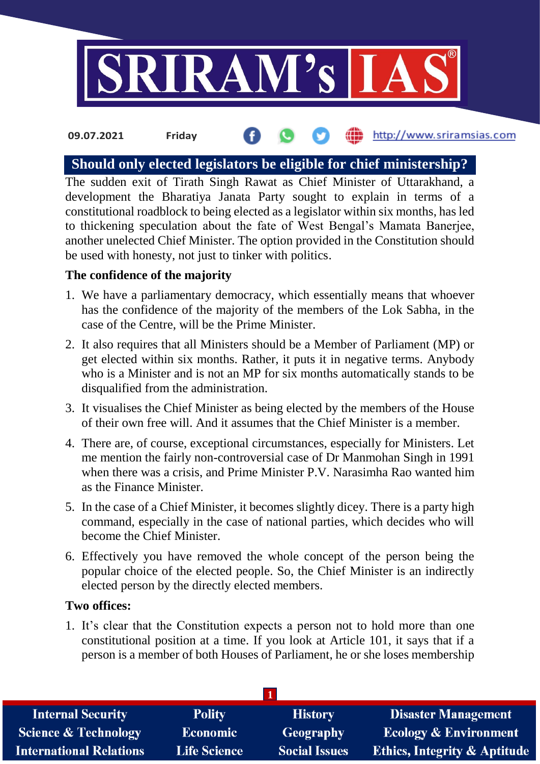

#### the http://www.sriramsias.com **09.07.2021 Friday**

# **Should only elected legislators be eligible for chief ministership?**

The sudden exit of Tirath Singh Rawat as Chief Minister of Uttarakhand, a development the Bharatiya Janata Party sought to explain in terms of a constitutional roadblock to being elected as a legislator within six months, has led to thickening speculation about the fate of West Bengal's Mamata Banerjee, another unelected Chief Minister. The option provided in the Constitution should be used with honesty, not just to tinker with politics.

### **The confidence of the majority**

- 1. We have a parliamentary democracy, which essentially means that whoever has the confidence of the majority of the members of the Lok Sabha, in the case of the Centre, will be the Prime Minister.
- 2. It also requires that all Ministers should be a Member of Parliament (MP) or get elected within six months. Rather, it puts it in negative terms. Anybody who is a Minister and is not an MP for six months automatically stands to be disqualified from the administration.
- 3. It visualises the Chief Minister as being elected by the members of the House of their own free will. And it assumes that the Chief Minister is a member.
- 4. There are, of course, exceptional circumstances, especially for Ministers. Let me mention the fairly non-controversial case of Dr Manmohan Singh in 1991 when there was a crisis, and Prime Minister P.V. Narasimha Rao wanted him as the Finance Minister.
- 5. In the case of a Chief Minister, it becomes slightly dicey. There is a party high command, especially in the case of national parties, which decides who will become the Chief Minister.
- 6. Effectively you have removed the whole concept of the person being the popular choice of the elected people. So, the Chief Minister is an indirectly elected person by the directly elected members.

#### **Two offices:**

1. It's clear that the Constitution expects a person not to hold more than one constitutional position at a time. If you look at Article 101, it says that if a person is a member of both Houses of Parliament, he or she loses membership

| <b>Internal Security</b>        | <b>Polity</b>       | <b>History</b>       | <b>Disaster Management</b>              |  |  |  |
|---------------------------------|---------------------|----------------------|-----------------------------------------|--|--|--|
| <b>Science &amp; Technology</b> | <b>Economic</b>     | <b>Geography</b>     | <b>Ecology &amp; Environment</b>        |  |  |  |
| <b>International Relations</b>  | <b>Life Science</b> | <b>Social Issues</b> | <b>Ethics, Integrity &amp; Aptitude</b> |  |  |  |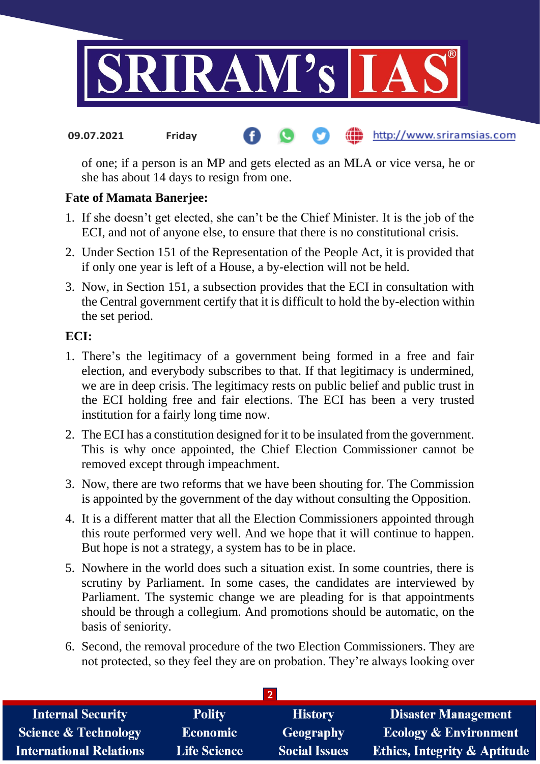

#### http://www.sriramsias.com **09.07.2021 Friday**

of one; if a person is an MP and gets elected as an MLA or vice versa, he or she has about 14 days to resign from one.

## **Fate of Mamata Banerjee:**

- 1. If she doesn't get elected, she can't be the Chief Minister. It is the job of the ECI, and not of anyone else, to ensure that there is no constitutional crisis.
- 2. Under Section 151 of the Representation of the People Act, it is provided that if only one year is left of a House, a by-election will not be held.
- 3. Now, in Section 151, a subsection provides that the ECI in consultation with the Central government certify that it is difficult to hold the by-election within the set period.

## **ECI:**

- 1. There's the legitimacy of a government being formed in a free and fair election, and everybody subscribes to that. If that legitimacy is undermined, we are in deep crisis. The legitimacy rests on public belief and public trust in the ECI holding free and fair elections. The ECI has been a very trusted institution for a fairly long time now.
- 2. The ECI has a constitution designed for it to be insulated from the government. This is why once appointed, the Chief Election Commissioner cannot be removed except through impeachment.
- 3. Now, there are two reforms that we have been shouting for. The Commission is appointed by the government of the day without consulting the Opposition.
- 4. It is a different matter that all the Election Commissioners appointed through this route performed very well. And we hope that it will continue to happen. But hope is not a strategy, a system has to be in place.
- 5. Nowhere in the world does such a situation exist. In some countries, there is scrutiny by Parliament. In some cases, the candidates are interviewed by Parliament. The systemic change we are pleading for is that appointments should be through a collegium. And promotions should be automatic, on the basis of seniority.
- 6. Second, the removal procedure of the two Election Commissioners. They are not protected, so they feel they are on probation. They're always looking over

| <b>Internal Security</b>        | <b>Polity</b>       | <b>History</b>       | <b>Disaster Management</b>              |  |  |  |
|---------------------------------|---------------------|----------------------|-----------------------------------------|--|--|--|
| <b>Science &amp; Technology</b> | <b>Economic</b>     | Geography            | <b>Ecology &amp; Environment</b>        |  |  |  |
| <b>International Relations</b>  | <b>Life Science</b> | <b>Social Issues</b> | <b>Ethics, Integrity &amp; Aptitude</b> |  |  |  |